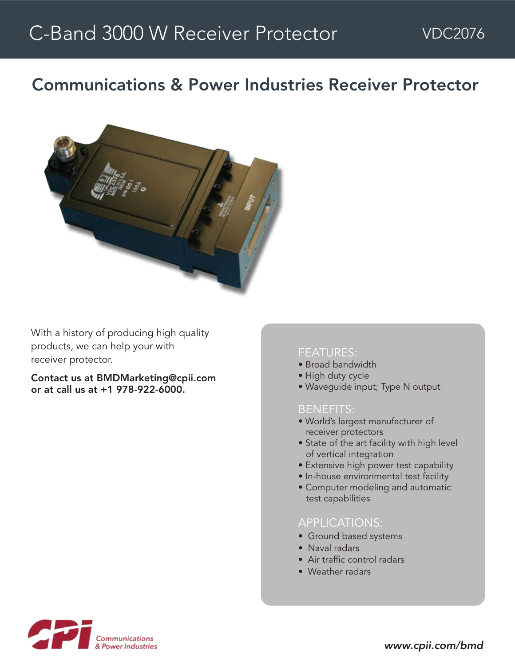# Communications & Power Industries Receiver Protector



With a history of producing high quality products, we can help your with receiver protector.

Contact us at BMDMarketing@cpii.com or at call us at +1 978-922-6000.

#### FEATURES:

- Broad bandwidth
- High duty cycle
- Waveguide input; Type N output

#### BENEFITS:

- World's largest manufacturer of receiver protectors
- State of the art facility with high level of vertical integration
- Extensive high power test capability
- In-house environmental test facility
- Computer modeling and automatic test capabilities

### APPLICATIONS:

- Ground based systems
- Naval radars
- Air traffic control radars
- Weather radars



*www.cpii.com/bmd*